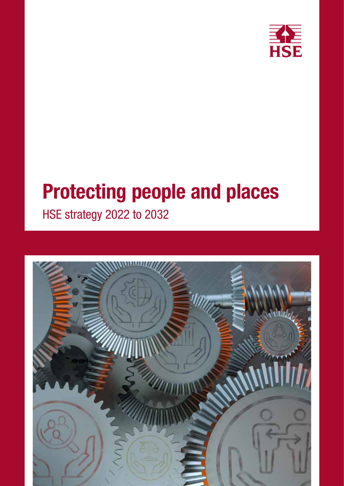

# Protecting people and places HSE strategy 2022 to 2032

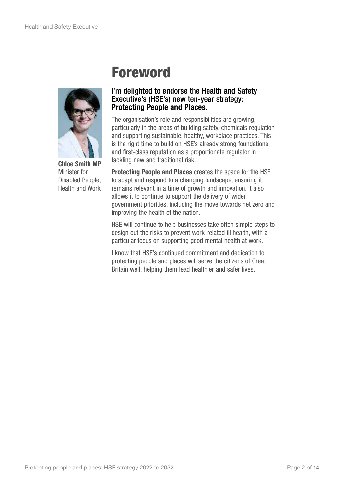

Chloe Smith MP Minister for Disabled People, Health and Work

## Foreword

#### I'm delighted to endorse the Health and Safety Executive's (HSE's) new ten-year strategy: Protecting People and Places.

The organisation's role and responsibilities are growing, particularly in the areas of building safety, chemicals regulation and supporting sustainable, healthy, workplace practices. This is the right time to build on HSE's already strong foundations and first-class reputation as a proportionate regulator in tackling new and traditional risk.

Protecting People and Places creates the space for the HSE to adapt and respond to a changing landscape, ensuring it remains relevant in a time of growth and innovation. It also allows it to continue to support the delivery of wider government priorities, including the move towards net zero and improving the health of the nation.

HSE will continue to help businesses take often simple steps to design out the risks to prevent work-related ill health, with a particular focus on supporting good mental health at work.

I know that HSE's continued commitment and dedication to protecting people and places will serve the citizens of Great Britain well, helping them lead healthier and safer lives.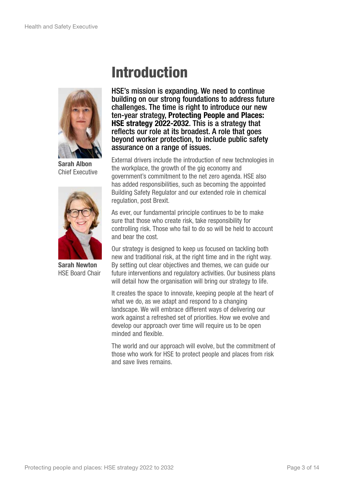

Sarah Albon Chief Executive



Sarah Newton HSE Board Chair

## Introduction

HSE's mission is expanding. We need to continue building on our strong foundations to address future challenges. The time is right to introduce our new ten-year strategy, Protecting People and Places: HSE strategy 2022-2032. This is a strategy that reflects our role at its broadest. A role that goes beyond worker protection, to include public safety assurance on a range of issues.

External drivers include the introduction of new technologies in the workplace, the growth of the gig economy and government's commitment to the net zero agenda. HSE also has added responsibilities, such as becoming the appointed Building Safety Regulator and our extended role in chemical regulation, post Brexit.

As ever, our fundamental principle continues to be to make sure that those who create risk, take responsibility for controlling risk. Those who fail to do so will be held to account and bear the cost.

Our strategy is designed to keep us focused on tackling both new and traditional risk, at the right time and in the right way. By setting out clear objectives and themes, we can guide our future interventions and regulatory activities. Our business plans will detail how the organisation will bring our strategy to life.

It creates the space to innovate, keeping people at the heart of what we do, as we adapt and respond to a changing landscape. We will embrace different ways of delivering our work against a refreshed set of priorities. How we evolve and develop our approach over time will require us to be open minded and flexible.

The world and our approach will evolve, but the commitment of those who work for HSE to protect people and places from risk and save lives remains.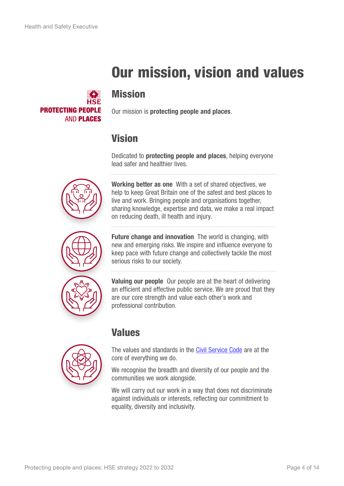## Our mission, vision and values



#### Mission

Our mission is **protecting people and places**.

#### Vision

Dedicated to protecting people and places, helping everyone lead safer and healthier lives.





Working better as one With a set of shared objectives, we help to keep Great Britain one of the safest and best places to live and work. Bringing people and organisations together, sharing knowledge, expertise and data, we make a real impact on reducing death, ill health and injury.

**Future change and innovation** The world is changing, with new and emerging risks. We inspire and influence everyone to keep pace with future change and collectively tackle the most serious risks to our society.

Valuing our people Our people are at the heart of delivering an efficient and effective public service. We are proud that they are our core strength and value each other's work and professional contribution.



#### Values

The values and standards in the [Civil Service Code](https://www.gov.uk/government/publications/civil-service-code/the-civil-service-code) are at the core of everything we do.

We recognise the breadth and diversity of our people and the communities we work alongside.

We will carry out our work in a way that does not discriminate against individuals or interests, reflecting our commitment to equality, diversity and inclusivity.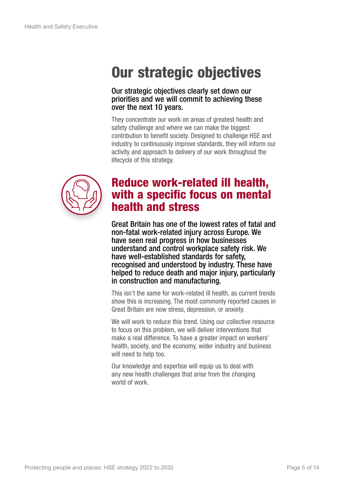## Our strategic objectives

#### Our strategic objectives clearly set down our priorities and we will commit to achieving these over the next 10 years.

They concentrate our work on areas of greatest health and safety challenge and where we can make the biggest contribution to benefit society. Designed to challenge HSE and industry to continuously improve standards, they will inform our activity and approach to delivery of our work throughout the lifecycle of this strategy.



#### Reduce work-related ill health, with a specific focus on mental health and stress

Great Britain has one of the lowest rates of fatal and non-fatal work-related injury across Europe. We have seen real progress in how businesses understand and control workplace safety risk. We have well-established standards for safety, recognised and understood by industry. These have helped to reduce death and major injury, particularly in construction and manufacturing.

This isn't the same for work-related ill health, as current trends show this is increasing. The most commonly reported causes in Great Britain are now stress, depression, or anxiety.

We will work to reduce this trend. Using our collective resource to focus on this problem, we will deliver interventions that make a real difference. To have a greater impact on workers' health, society, and the economy, wider industry and business will need to help too.

Our knowledge and expertise will equip us to deal with any new health challenges that arise from the changing world of work.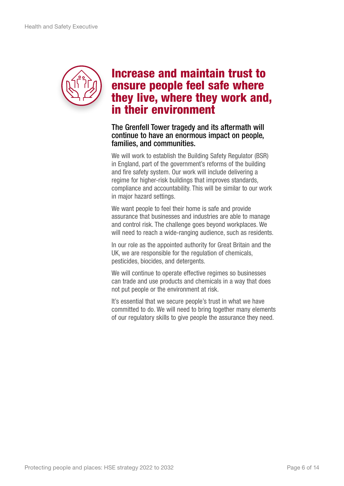

### Increase and maintain trust to ensure people feel safe where they live, where they work and, in their environment

#### The Grenfell Tower tragedy and its aftermath will continue to have an enormous impact on people, families, and communities.

We will work to establish the Building Safety Regulator (BSR) in England, part of the government's reforms of the building and fire safety system. Our work will include delivering a regime for higher-risk buildings that improves standards, compliance and accountability. This will be similar to our work in major hazard settings.

We want people to feel their home is safe and provide assurance that businesses and industries are able to manage and control risk. The challenge goes beyond workplaces. We will need to reach a wide-ranging audience, such as residents.

In our role as the appointed authority for Great Britain and the UK, we are responsible for the regulation of chemicals, pesticides, biocides, and detergents.

We will continue to operate effective regimes so businesses can trade and use products and chemicals in a way that does not put people or the environment at risk.

It's essential that we secure people's trust in what we have committed to do. We will need to bring together many elements of our regulatory skills to give people the assurance they need.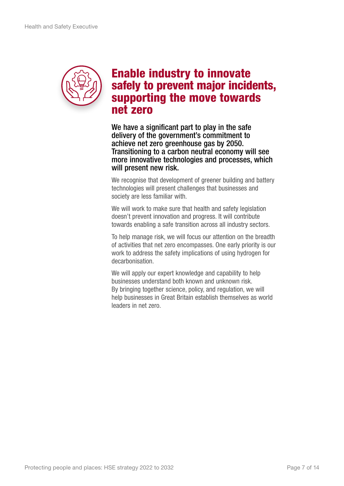

#### Enable industry to innovate safely to prevent major incidents, supporting the move towards net zero

We have a significant part to play in the safe delivery of the government's commitment to achieve net zero greenhouse gas by 2050. Transitioning to a carbon neutral economy will see more innovative technologies and processes, which will present new risk.

We recognise that development of greener building and battery technologies will present challenges that businesses and society are less familiar with.

We will work to make sure that health and safety legislation doesn't prevent innovation and progress. It will contribute towards enabling a safe transition across all industry sectors.

To help manage risk, we will focus our attention on the breadth of activities that net zero encompasses. One early priority is our work to address the safety implications of using hydrogen for decarbonisation.

We will apply our expert knowledge and capability to help businesses understand both known and unknown risk. By bringing together science, policy, and regulation, we will help businesses in Great Britain establish themselves as world leaders in net zero.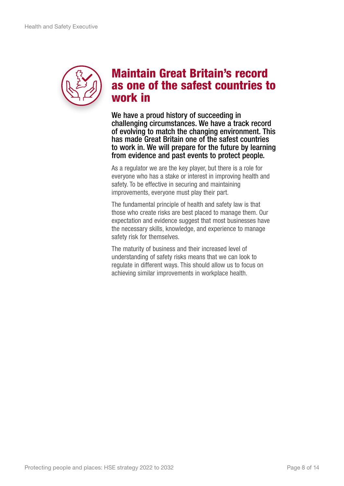

### Maintain Great Britain's record as one of the safest countries to work in

We have a proud history of succeeding in challenging circumstances. We have a track record of evolving to match the changing environment. This has made Great Britain one of the safest countries to work in. We will prepare for the future by learning from evidence and past events to protect people.

As a regulator we are the key player, but there is a role for everyone who has a stake or interest in improving health and safety. To be effective in securing and maintaining improvements, everyone must play their part.

The fundamental principle of health and safety law is that those who create risks are best placed to manage them. Our expectation and evidence suggest that most businesses have the necessary skills, knowledge, and experience to manage safety risk for themselves.

The maturity of business and their increased level of understanding of safety risks means that we can look to regulate in different ways. This should allow us to focus on achieving similar improvements in workplace health.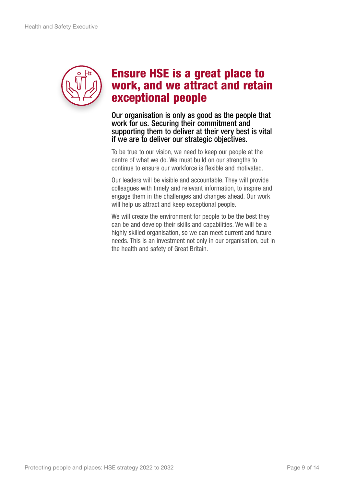

### Ensure HSE is a great place to work, and we attract and retain exceptional people

Our organisation is only as good as the people that work for us. Securing their commitment and supporting them to deliver at their very best is vital if we are to deliver our strategic objectives.

To be true to our vision, we need to keep our people at the centre of what we do. We must build on our strengths to continue to ensure our workforce is flexible and motivated.

Our leaders will be visible and accountable. They will provide colleagues with timely and relevant information, to inspire and engage them in the challenges and changes ahead. Our work will help us attract and keep exceptional people.

We will create the environment for people to be the best they can be and develop their skills and capabilities. We will be a highly skilled organisation, so we can meet current and future needs. This is an investment not only in our organisation, but in the health and safety of Great Britain.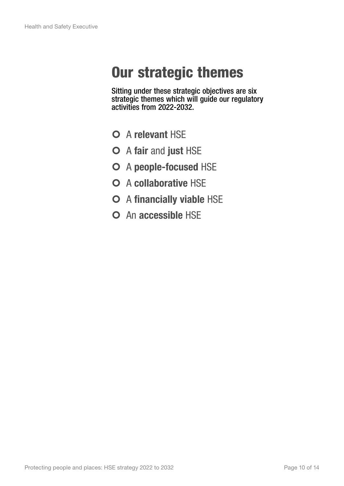## Our strategic themes

Sitting under these strategic objectives are six strategic themes which will guide our regulatory activities from 2022-2032.

- O A relevant HSF
- O A fair and just HSE
- O A people-focused HSE
- | A collaborative HSE
- O A financially viable HSE
- O An accessible HSE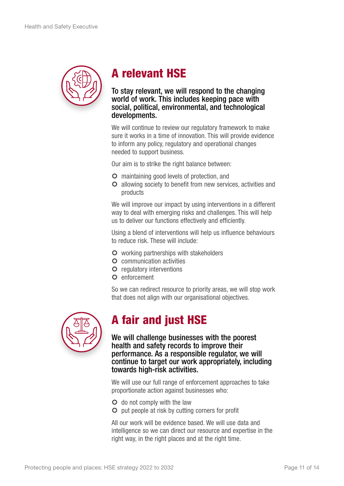

## A relevant HSE

#### To stay relevant, we will respond to the changing world of work. This includes keeping pace with social, political, environmental, and technological developments.

We will continue to review our regulatory framework to make sure it works in a time of innovation. This will provide evidence to inform any policy, regulatory and operational changes needed to support business.

Our aim is to strike the right balance between:

- **O** maintaining good levels of protection, and
- **O** allowing society to benefit from new services, activities and products

We will improve our impact by using interventions in a different way to deal with emerging risks and challenges. This will help us to deliver our functions effectively and efficiently.

Using a blend of interventions will help us influence behaviours to reduce risk. These will include:

- O working partnerships with stakeholders
- **O** communication activities
- **O** regulatory interventions
- O enforcement

So we can redirect resource to priority areas, we will stop work that does not align with our organisational objectives.



### A fair and just HSE

We will challenge businesses with the poorest health and safety records to improve their performance. As a responsible regulator, we will continue to target our work appropriately, including towards high-risk activities.

We will use our full range of enforcement approaches to take proportionate action against businesses who:

- **O** do not comply with the law
- **O** put people at risk by cutting corners for profit

All our work will be evidence based. We will use data and intelligence so we can direct our resource and expertise in the right way, in the right places and at the right time.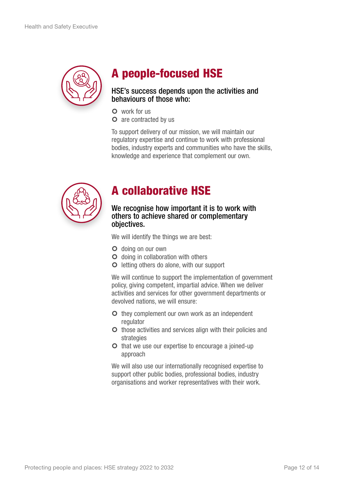

### A people-focused HSE

#### HSE's success depends upon the activities and behaviours of those who:

- O work for us
- **O** are contracted by us

To support delivery of our mission, we will maintain our regulatory expertise and continue to work with professional bodies, industry experts and communities who have the skills, knowledge and experience that complement our own.



### A collaborative HSE

#### We recognise how important it is to work with others to achieve shared or complementary objectives.

We will identify the things we are best:

- O doing on our own
- **O** doing in collaboration with others
- **O** letting others do alone, with our support

We will continue to support the implementation of government policy, giving competent, impartial advice. When we deliver activities and services for other government departments or devolved nations, we will ensure:

- O they complement our own work as an independent regulator
- **O** those activities and services align with their policies and strategies
- **O** that we use our expertise to encourage a joined-up approach

We will also use our internationally recognised expertise to support other public bodies, professional bodies, industry organisations and worker representatives with their work.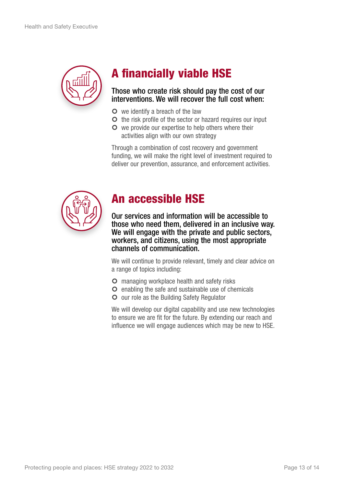

## A financially viable HSE

#### Those who create risk should pay the cost of our interventions. We will recover the full cost when:

- O we identify a breach of the law
- O the risk profile of the sector or hazard requires our input
- O we provide our expertise to help others where their activities align with our own strategy

Through a combination of cost recovery and government funding, we will make the right level of investment required to deliver our prevention, assurance, and enforcement activities.



### An accessible HSE

Our services and information will be accessible to those who need them, delivered in an inclusive way. We will engage with the private and public sectors, workers, and citizens, using the most appropriate channels of communication.

We will continue to provide relevant, timely and clear advice on a range of topics including:

- **O** managing workplace health and safety risks
- **O** enabling the safe and sustainable use of chemicals
- **O** our role as the Building Safety Regulator

We will develop our digital capability and use new technologies to ensure we are fit for the future. By extending our reach and influence we will engage audiences which may be new to HSE.